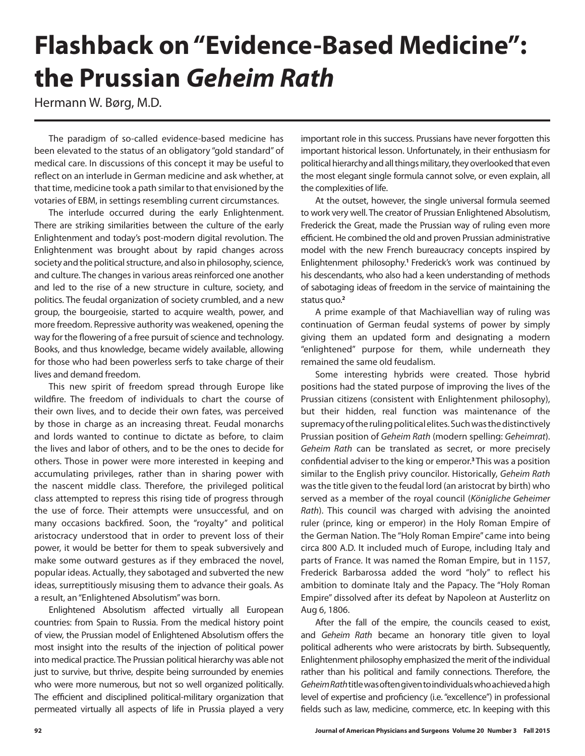## **Flashback on "Evidence-Based Medicine": the Prussian** *Geheim Rath*

Hermann W. Børg, M.D.

The paradigm of so-called evidence-based medicine has been elevated to the status of an obligatory "gold standard" of medical care. In discussions of this concept it may be useful to reflect on an interlude in German medicine and ask whether, at that time, medicine took a path similar to that envisioned by the votaries of EBM, in settings resembling current circumstances.

The interlude occurred during the early Enlightenment. There are striking similarities between the culture of the early Enlightenment and today's post-modern digital revolution. The Enlightenment was brought about by rapid changes across society and the political structure, and also in philosophy, science, and culture. The changes in various areas reinforced one another and led to the rise of a new structure in culture, society, and politics. The feudal organization of society crumbled, and a new group, the bourgeoisie, started to acquire wealth, power, and more freedom. Repressive authority was weakened, opening the way for the flowering of a free pursuit of science and technology. Books, and thus knowledge, became widely available, allowing for those who had been powerless serfs to take charge of their lives and demand freedom.

This new spirit of freedom spread through Europe like wildfire. The freedom of individuals to chart the course of their own lives, and to decide their own fates, was perceived by those in charge as an increasing threat. Feudal monarchs and lords wanted to continue to dictate as before, to claim the lives and labor of others, and to be the ones to decide for others. Those in power were more interested in keeping and accumulating privileges, rather than in sharing power with the nascent middle class. Therefore, the privileged political class attempted to repress this rising tide of progress through the use of force. Their attempts were unsuccessful, and on many occasions backfired. Soon, the "royalty" and political aristocracy understood that in order to prevent loss of their power, it would be better for them to speak subversively and make some outward gestures as if they embraced the novel, popular ideas. Actually, they sabotaged and subverted the new ideas, surreptitiously misusing them to advance their goals. As a result, an "Enlightened Absolutism" was born.

Enlightened Absolutism affected virtually all European countries: from Spain to Russia. From the medical history point of view, the Prussian model of Enlightened Absolutism offers the most insight into the results of the injection of political power into medical practice. The Prussian political hierarchy was able not just to survive, but thrive, despite being surrounded by enemies who were more numerous, but not so well organized politically. The efficient and disciplined political-military organization that permeated virtually all aspects of life in Prussia played a very

important role in this success. Prussians have never forgotten this important historical lesson. Unfortunately, in their enthusiasm for political hierarchy and all things military, they overlooked that even the most elegant single formula cannot solve, or even explain, all the complexities of life.

At the outset, however, the single universal formula seemed to work very well. The creator of Prussian Enlightened Absolutism, Frederick the Great, made the Prussian way of ruling even more efficient. He combined the old and proven Prussian administrative model with the new French bureaucracy concepts inspired by Enlightenment philosophy.**<sup>1</sup>**Frederick's work was continued by his descendants, who also had a keen understanding of methods of sabotaging ideas of freedom in the service of maintaining the status quo.**<sup>2</sup>**

A prime example of that Machiavellian way of ruling was continuation of German feudal systems of power by simply giving them an updated form and designating a modern "enlightened" purpose for them, while underneath they remained the same old feudalism.

Some interesting hybrids were created. Those hybrid positions had the stated purpose of improving the lives of the Prussian citizens (consistent with Enlightenment philosophy), but their hidden, real function was maintenance of the supremacy of the ruling political elites. Such was the distinctively Prussian position of *Geheim Rath* (modern spelling: *Geheimrat*). *Geheim Rath* can be translated as secret, or more precisely confidential adviser to the king or emperor.**<sup>3</sup>**This was a position similar to the English privy councilor. Historically, *Geheim Rath* was the title given to the feudal lord (an aristocrat by birth) who served as a member of the royal council (*Königliche Geheimer Rath*). This council was charged with advising the anointed ruler (prince, king or emperor) in the Holy Roman Empire of the German Nation. The "Holy Roman Empire" came into being circa 800 A.D. It included much of Europe, including Italy and parts of France. It was named the Roman Empire, but in 1157, Frederick Barbarossa added the word "holy" to reflect his ambition to dominate Italy and the Papacy. The "Holy Roman Empire" dissolved after its defeat by Napoleon at Austerlitz on Aug 6, 1806.

After the fall of the empire, the councils ceased to exist, and *Geheim Rath* became an honorary title given to loyal political adherents who were aristocrats by birth. Subsequently, Enlightenment philosophy emphasized the merit of the individual rather than his political and family connections. Therefore, the *Geheim Rath* title was often given to individuals who achieved a high level of expertise and proficiency (i.e. "excellence") in professional fields such as law, medicine, commerce, etc. In keeping with this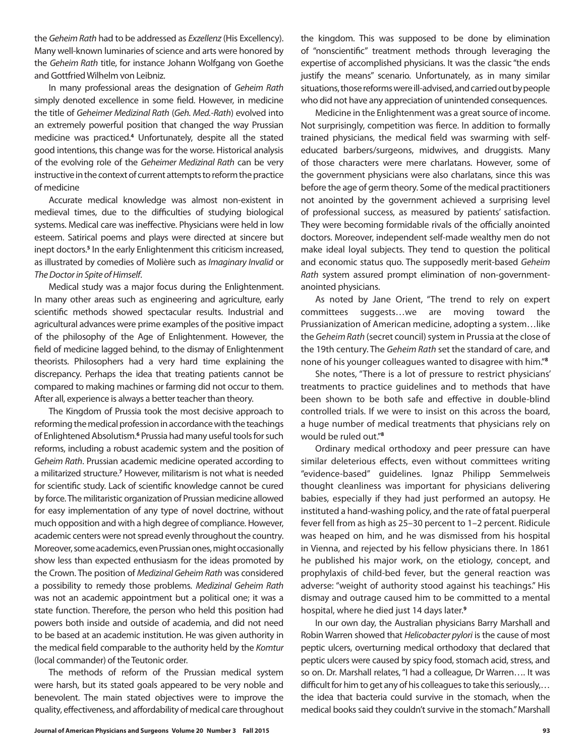the *Geheim Rath* had to be addressed as *Exzellenz* (His Excellency). Many well-known luminaries of science and arts were honored by the *Geheim Rath* title, for instance Johann Wolfgang von Goethe and Gottfried Wilhelm von Leibniz.

In many professional areas the designation of *Geheim Rath* simply denoted excellence in some field. However, in medicine the title of *Geheimer Medizinal Rath* (*Geh. Med.-Rath*) evolved into an extremely powerful position that changed the way Prussian medicine was practiced.**<sup>4</sup>** Unfortunately, despite all the stated good intentions, this change was for the worse. Historical analysis of the evolving role of the *Geheimer Medizinal Rath* can be very instructive in the context of current attempts to reform the practice of medicine

Accurate medical knowledge was almost non-existent in medieval times, due to the difficulties of studying biological systems. Medical care was ineffective. Physicians were held in low esteem. Satirical poems and plays were directed at sincere but inept doctors.<sup>5</sup> In the early Enlightenment this criticism increased, as illustrated by comedies of Molière such as *Imaginary Invalid* or *The Doctor in Spite of Himself*.

Medical study was a major focus during the Enlightenment. In many other areas such as engineering and agriculture, early scientific methods showed spectacular results. Industrial and agricultural advances were prime examples of the positive impact of the philosophy of the Age of Enlightenment. However, the field of medicine lagged behind, to the dismay of Enlightenment theorists. Philosophers had a very hard time explaining the discrepancy. Perhaps the idea that treating patients cannot be compared to making machines or farming did not occur to them. After all, experience is always a better teacher than theory.

The Kingdom of Prussia took the most decisive approach to reforming the medical profession in accordance with the teachings of Enlightened Absolutism.**<sup>6</sup>** Prussia had many useful tools for such reforms, including a robust academic system and the position of *Geheim Rath*. Prussian academic medicine operated according to a militarized structure.**<sup>7</sup>** However, militarism is not what is needed for scientific study. Lack of scientific knowledge cannot be cured by force. The militaristic organization of Prussian medicine allowed for easy implementation of any type of novel doctrine, without much opposition and with a high degree of compliance. However, academic centers were not spread evenly throughout the country. Moreover, some academics, even Prussian ones, might occasionally show less than expected enthusiasm for the ideas promoted by the Crown. The position of *Medizinal Geheim Rath* was considered a possibility to remedy those problems. *Medizinal Geheim Rath* was not an academic appointment but a political one; it was a state function. Therefore, the person who held this position had powers both inside and outside of academia, and did not need to be based at an academic institution. He was given authority in the medical field comparable to the authority held by the *Komtur* (local commander) of the Teutonic order.

The methods of reform of the Prussian medical system were harsh, but its stated goals appeared to be very noble and benevolent. The main stated objectives were to improve the quality, effectiveness, and affordability of medical care throughout the kingdom. This was supposed to be done by elimination of "nonscientific" treatment methods through leveraging the expertise of accomplished physicians. It was the classic "the ends justify the means" scenario. Unfortunately, as in many similar situations, those reforms were ill-advised, and carried out by people who did not have any appreciation of unintended consequences.

Medicine in the Enlightenment was a great source of income. Not surprisingly, competition was fierce. In addition to formally trained physicians, the medical field was swarming with selfeducated barbers/surgeons, midwives, and druggists. Many of those characters were mere charlatans. However, some of the government physicians were also charlatans, since this was before the age of germ theory. Some of the medical practitioners not anointed by the government achieved a surprising level of professional success, as measured by patients' satisfaction. They were becoming formidable rivals of the officially anointed doctors. Moreover, independent self-made wealthy men do not make ideal loyal subjects. They tend to question the political and economic status quo. The supposedly merit-based *Geheim Rath* system assured prompt elimination of non-governmentanointed physicians.

As noted by Jane Orient, "The trend to rely on expert committees suggests…we are moving toward the Prussianization of American medicine, adopting a system…like the *Geheim Rath* (secret council) system in Prussia at the close of the 19th century. The *Geheim Rath* set the standard of care, and none of his younger colleagues wanted to disagree with him."**<sup>8</sup>**

She notes, "There is a lot of pressure to restrict physicians' treatments to practice guidelines and to methods that have been shown to be both safe and effective in double-blind controlled trials. If we were to insist on this across the board, a huge number of medical treatments that physicians rely on would be ruled out."**<sup>8</sup>**

Ordinary medical orthodoxy and peer pressure can have similar deleterious effects, even without committees writing "evidence-based" guidelines. Ignaz Philipp Semmelweis thought cleanliness was important for physicians delivering babies, especially if they had just performed an autopsy. He instituted a hand-washing policy, and the rate of fatal puerperal fever fell from as high as 25–30 percent to 1–2 percent. Ridicule was heaped on him, and he was dismissed from his hospital in Vienna, and rejected by his fellow physicians there. In 1861 he published his major work, on the etiology, concept, and prophylaxis of child-bed fever, but the general reaction was adverse: "weight of authority stood against his teachings." His dismay and outrage caused him to be committed to a mental hospital, where he died just 14 days later.**<sup>9</sup>**

In our own day, the Australian physicians Barry Marshall and Robin Warren showed that *Helicobacter pylori* is the cause of most peptic ulcers, overturning medical orthodoxy that declared that peptic ulcers were caused by spicy food, stomach acid, stress, and so on. Dr. Marshall relates, "I had a colleague, Dr Warren…. It was difficult for him to get any of his colleagues to take this seriously,… the idea that bacteria could survive in the stomach, when the medical books said they couldn't survive in the stomach." Marshall